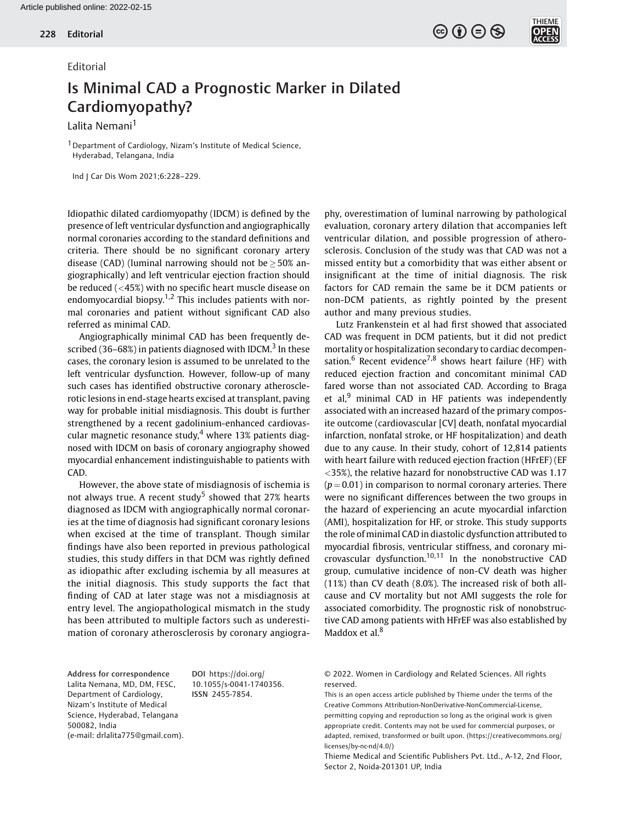## Editorial

## Is Minimal CAD a Prognostic Marker in Dilated Cardiomyopathy?

Lalita Nemani<sup>1</sup>

<sup>1</sup> Department of Cardiology, Nizam's Institute of Medical Science, Hyderabad, Telangana, India

Ind J Car Dis Wom 2021;6:228–229.

Idiopathic dilated cardiomyopathy (IDCM) is defined by the presence of left ventricular dysfunction and angiographically normal coronaries according to the standard definitions and criteria. There should be no significant coronary artery disease (CAD) (luminal narrowing should not be  $\geq$  50% angiographically) and left ventricular ejection fraction should be reduced (<45%) with no specific heart muscle disease on endomyocardial biopsy.<sup>1,2</sup> This includes patients with normal coronaries and patient without significant CAD also referred as minimal CAD.

Angiographically minimal CAD has been frequently described (36–68%) in patients diagnosed with IDCM.<sup>3</sup> In these cases, the coronary lesion is assumed to be unrelated to the left ventricular dysfunction. However, follow-up of many such cases has identified obstructive coronary atherosclerotic lesions in end-stage hearts excised at transplant, paving way for probable initial misdiagnosis. This doubt is further strengthened by a recent gadolinium-enhanced cardiovascular magnetic resonance study, $4$  where 13% patients diagnosed with IDCM on basis of coronary angiography showed myocardial enhancement indistinguishable to patients with CAD.

However, the above state of misdiagnosis of ischemia is not always true. A recent study<sup>5</sup> showed that 27% hearts diagnosed as IDCM with angiographically normal coronaries at the time of diagnosis had significant coronary lesions when excised at the time of transplant. Though similar findings have also been reported in previous pathological studies, this study differs in that DCM was rightly defined as idiopathic after excluding ischemia by all measures at the initial diagnosis. This study supports the fact that finding of CAD at later stage was not a misdiagnosis at entry level. The angiopathological mismatch in the study has been attributed to multiple factors such as underestimation of coronary atherosclerosis by coronary angiography, overestimation of luminal narrowing by pathological evaluation, coronary artery dilation that accompanies left ventricular dilation, and possible progression of atherosclerosis. Conclusion of the study was that CAD was not a missed entity but a comorbidity that was either absent or insignificant at the time of initial diagnosis. The risk factors for CAD remain the same be it DCM patients or non-DCM patients, as rightly pointed by the present author and many previous studies.

 $\textcircled{\scriptsize{\textcircled{\tiny{F}}}}\textcircled{\scriptsize{\textcircled{\tiny{F}}}}\textcircled{\scriptsize{\textcircled{\tiny{F}}}}\textcircled{\scriptsize{\textcircled{\tiny{F}}}}\textcircled{\scriptsize{\textcircled{\tiny{F}}}}\textcircled{\scriptsize{\textcircled{\tiny{F}}}}\textcircled{\scriptsize{\textcircled{\tiny{F}}}}\textcircled{\scriptsize{\textcircled{\tiny{F}}}}\textcircled{\scriptsize{\textcircled{\tiny{F}}}}\textcircled{\scriptsize{\textcircled{\tiny{F}}}}\textcircled{\scriptsize{\textcircled{\tiny{F}}}}\textcircled{\scriptsize{\textcircled{\tiny{F}}}}\textcircled{\scriptsize{\textcircled{\tiny{F}}$ 

Lutz Frankenstein et al had first showed that associated CAD was frequent in DCM patients, but it did not predict mortality or hospitalization secondary to cardiac decompensation.<sup>6</sup> Recent evidence<sup>7,8</sup> shows heart failure (HF) with reduced ejection fraction and concomitant minimal CAD fared worse than not associated CAD. According to Braga et al, $9$  minimal CAD in HF patients was independently associated with an increased hazard of the primary composite outcome (cardiovascular [CV] death, nonfatal myocardial infarction, nonfatal stroke, or HF hospitalization) and death due to any cause. In their study, cohort of 12,814 patients with heart failure with reduced ejection fraction (HFrEF) (EF <35%), the relative hazard for nonobstructive CAD was 1.17  $(p = 0.01)$  in comparison to normal coronary arteries. There were no significant differences between the two groups in the hazard of experiencing an acute myocardial infarction (AMI), hospitalization for HF, or stroke. This study supports the role of minimal CAD in diastolic dysfunction attributed to myocardial fibrosis, ventricular stiffness, and coronary microvascular dysfunction.<sup>10,11</sup> In the nonobstructive CAD group, cumulative incidence of non-CV death was higher (11%) than CV death (8.0%). The increased risk of both allcause and CV mortality but not AMI suggests the role for associated comorbidity. The prognostic risk of nonobstructive CAD among patients with HFrEF was also established by Maddox et al.<sup>8</sup>

Address for correspondence Lalita Nemana, MD, DM, FESC, Department of Cardiology, Nizam's Institute of Medical Science, Hyderabad, Telangana 500082, India (e-mail: [drlalita775@gmail.com](mailto:)).

DOI [https://doi.org/](https://doi.org/10.1055/s-0041-1740356) [10.1055/s-0041-1740356](https://doi.org/10.1055/s-0041-1740356). ISSN 2455-7854.

© 2022. Women in Cardiology and Related Sciences. All rights reserved.

This is an open access article published by Thieme under the terms of the Creative Commons Attribution-NonDerivative-NonCommercial-License, permitting copying and reproduction so long as the original work is given appropriate credit. Contents may not be used for commercial purposes, or adapted, remixed, transformed or built upon. (https://creativecommons.org/ licenses/by-nc-nd/4.0/)

Thieme Medical and Scientific Publishers Pvt. Ltd., A-12, 2nd Floor, Sector 2, Noida-201301 UP, India